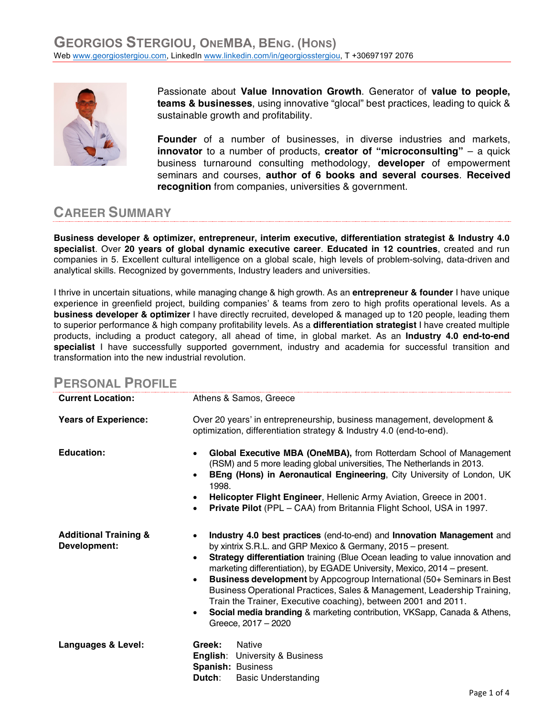

Passionate about **Value Innovation Growth**. Generator of **value to people, teams & businesses**, using innovative "glocal" best practices, leading to quick & sustainable growth and profitability.

**Founder** of a number of businesses, in diverse industries and markets, **innovator** to a number of products, **creator of "microconsulting"** – a quick business turnaround consulting methodology, **developer** of empowerment seminars and courses, **author of 6 books and several courses**. **Received recognition** from companies, universities & government.

## **CAREER SUMMARY**

**Business developer & optimizer, entrepreneur, interim executive, differentiation strategist & Industry 4.0 specialist**. Over **20 years of global dynamic executive career**. **Educated in 12 countries**, created and run companies in 5. Excellent cultural intelligence on a global scale, high levels of problem-solving, data-driven and analytical skills. Recognized by governments, Industry leaders and universities.

I thrive in uncertain situations, while managing change & high growth. As an **entrepreneur & founder** I have unique experience in greenfield project, building companies' & teams from zero to high profits operational levels. As a **business developer & optimizer** I have directly recruited, developed & managed up to 120 people, leading them to superior performance & high company profitability levels. As a **differentiation strategist** I have created multiple products, including a product category, all ahead of time, in global market. As an **Industry 4.0 end-to-end specialist** I have successfully supported government, industry and academia for successful transition and transformation into the new industrial revolution.

| <b>PERSONAL PROFILE</b>                          |                                                                                                                                                                                                                                                                                                                                                                                                                                                                                                                                                                                                                                            |
|--------------------------------------------------|--------------------------------------------------------------------------------------------------------------------------------------------------------------------------------------------------------------------------------------------------------------------------------------------------------------------------------------------------------------------------------------------------------------------------------------------------------------------------------------------------------------------------------------------------------------------------------------------------------------------------------------------|
| <b>Current Location:</b>                         | Athens & Samos, Greece                                                                                                                                                                                                                                                                                                                                                                                                                                                                                                                                                                                                                     |
| <b>Years of Experience:</b>                      | Over 20 years' in entrepreneurship, business management, development &<br>optimization, differentiation strategy & Industry 4.0 (end-to-end).                                                                                                                                                                                                                                                                                                                                                                                                                                                                                              |
| <b>Education:</b>                                | Global Executive MBA (OneMBA), from Rotterdam School of Management<br>(RSM) and 5 more leading global universities, The Netherlands in 2013.<br>BEng (Hons) in Aeronautical Engineering, City University of London, UK<br>1998.<br>Helicopter Flight Engineer, Hellenic Army Aviation, Greece in 2001.<br>Private Pilot (PPL - CAA) from Britannia Flight School, USA in 1997.                                                                                                                                                                                                                                                             |
| <b>Additional Training &amp;</b><br>Development: | Industry 4.0 best practices (end-to-end) and Innovation Management and<br>by xintrix S.R.L. and GRP Mexico & Germany, 2015 – present.<br>Strategy differentiation training (Blue Ocean leading to value innovation and<br>$\bullet$<br>marketing differentiation), by EGADE University, Mexico, 2014 – present.<br>Business development by Appcogroup International (50+ Seminars in Best<br>Business Operational Practices, Sales & Management, Leadership Training,<br>Train the Trainer, Executive coaching), between 2001 and 2011.<br>Social media branding & marketing contribution, VKSapp, Canada & Athens,<br>Greece, 2017 - 2020 |
| Languages & Level:                               | <b>Native</b><br>Greek:<br><b>English:</b> University & Business<br><b>Spanish: Business</b><br>Dutch:<br><b>Basic Understanding</b>                                                                                                                                                                                                                                                                                                                                                                                                                                                                                                       |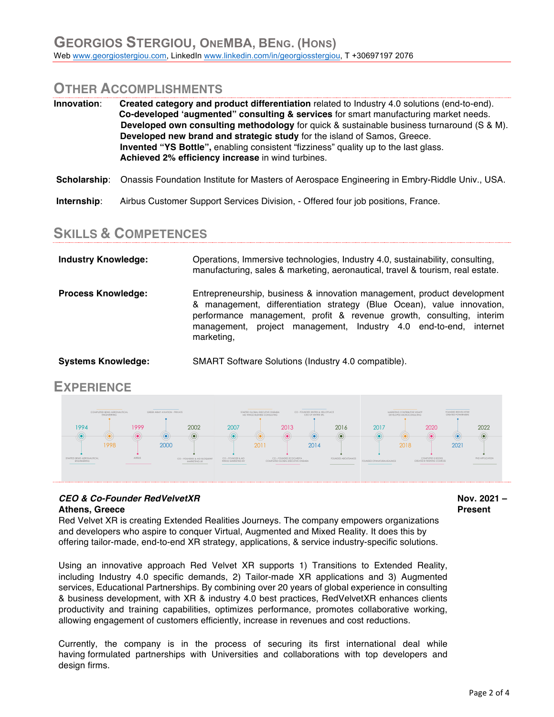## **OTHER ACCOMPLISHMENTS**

| Innovation: |             | Created category and product differentiation related to Industry 4.0 solutions (end-to-end).<br>Co-developed 'augmented" consulting & services for smart manufacturing market needs.<br>Developed own consulting methodology for quick & sustainable business turnaround (S & M).<br>Developed new brand and strategic study for the island of Samos, Greece.<br><b>Invented "YS Bottle"</b> , enabling consistent "fizziness" quality up to the last glass.<br>Achieved 2% efficiency increase in wind turbines. |  |
|-------------|-------------|-------------------------------------------------------------------------------------------------------------------------------------------------------------------------------------------------------------------------------------------------------------------------------------------------------------------------------------------------------------------------------------------------------------------------------------------------------------------------------------------------------------------|--|
|             |             | Scholarship: Onassis Foundation Institute for Masters of Aerospace Engineering in Embry-Riddle Univ., USA.                                                                                                                                                                                                                                                                                                                                                                                                        |  |
|             | Internship: | Airbus Customer Support Services Division, - Offered four job positions, France.                                                                                                                                                                                                                                                                                                                                                                                                                                  |  |

## **SKILLS & COMPETENCES**

| <b>Industry Knowledge:</b> | Operations, Immersive technologies, Industry 4.0, sustainability, consulting,<br>manufacturing, sales & marketing, aeronautical, travel & tourism, real estate.                                                                                                                                              |
|----------------------------|--------------------------------------------------------------------------------------------------------------------------------------------------------------------------------------------------------------------------------------------------------------------------------------------------------------|
| <b>Process Knowledge:</b>  | Entrepreneurship, business & innovation management, product development<br>& management, differentiation strategy (Blue Ocean), value innovation,<br>performance management, profit & revenue growth, consulting, interim<br>management, project management, Industry 4.0 end-to-end, internet<br>marketing, |
| <b>Systems Knowledge:</b>  | SMART Software Solutions (Industry 4.0 compatible).                                                                                                                                                                                                                                                          |

## **EXPERIENCE**



## *CEO & Co-Founder RedVelvetXR* **Athens, Greece**

Red Velvet XR is creating Extended Realities Journeys. The company empowers organizations and developers who aspire to conquer Virtual, Augmented and Mixed Reality. It does this by offering tailor-made, end-to-end XR strategy, applications, & service industry-specific solutions.

Using an innovative approach Red Velvet XR supports 1) Transitions to Extended Reality, including Industry 4.0 specific demands, 2) Tailor-made XR applications and 3) Augmented services, Educational Partnerships. By combining over 20 years of global experience in consulting & business development, with XR & industry 4.0 best practices, RedVelvetXR enhances clients productivity and training capabilities, optimizes performance, promotes collaborative working, allowing engagement of customers efficiently, increase in revenues and cost reductions.

Currently, the company is in the process of securing its first international deal while having formulated partnerships with Universities and collaborations with top developers and design firms.

**Nov. 2021 – Present**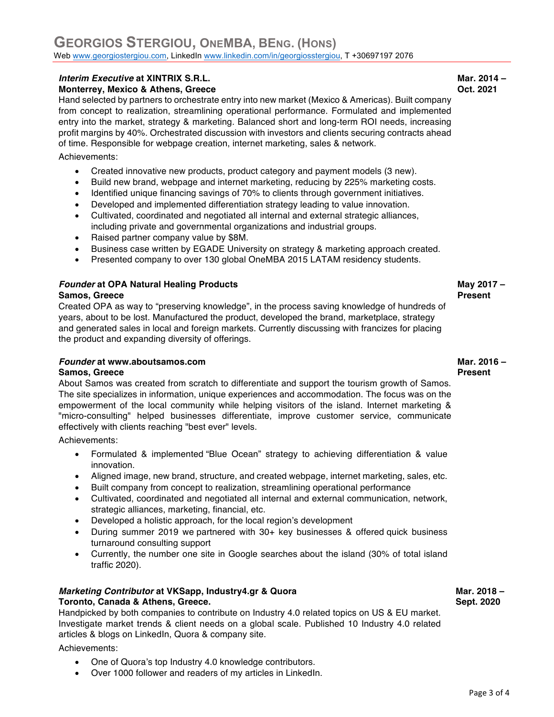## **GEORGIOS STERGIOU, ONEMBA, BENG. (HONS)** Web www.georgiostergiou.com, LinkedIn www.linkedin.com/in/georgiosstergiou, T +30697197 2076

## *Interim Executive* **at XINTRIX S.R.L.**

## **Monterrey, Mexico & Athens, Greece**

Hand selected by partners to orchestrate entry into new market (Mexico & Americas). Built company from concept to realization, streamlining operational performance. Formulated and implemented entry into the market, strategy & marketing. Balanced short and long-term ROI needs, increasing profit margins by 40%. Orchestrated discussion with investors and clients securing contracts ahead of time. Responsible for webpage creation, internet marketing, sales & network.

Achievements:

- Created innovative new products, product category and payment models (3 new).
- Build new brand, webpage and internet marketing, reducing by 225% marketing costs.
- Identified unique financing savings of 70% to clients through government initiatives.
- Developed and implemented differentiation strategy leading to value innovation.
- Cultivated, coordinated and negotiated all internal and external strategic alliances, including private and governmental organizations and industrial groups.
- Raised partner company value by \$8M.
- Business case written by EGADE University on strategy & marketing approach created.
- Presented company to over 130 global OneMBA 2015 LATAM residency students.

## *Founder* **at OPA Natural Healing Products**

#### **Samos, Greece**

Created OPA as way to "preserving knowledge", in the process saving knowledge of hundreds of years, about to be lost. Manufactured the product, developed the brand, marketplace, strategy and generated sales in local and foreign markets. Currently discussing with francizes for placing the product and expanding diversity of offerings.

## *Founder* **at www.aboutsamos.com**

## **Samos, Greece**

About Samos was created from scratch to differentiate and support the tourism growth of Samos. The site specializes in information, unique experiences and accommodation. The focus was on the empowerment of the local community while helping visitors of the island. Internet marketing & "micro-consulting" helped businesses differentiate, improve customer service, communicate effectively with clients reaching "best ever" levels.

Achievements:

- Formulated & implemented "Blue Ocean" strategy to achieving differentiation & value innovation.
- Aligned image, new brand, structure, and created webpage, internet marketing, sales, etc.
- Built company from concept to realization, streamlining operational performance
- Cultivated, coordinated and negotiated all internal and external communication, network, strategic alliances, marketing, financial, etc.
- Developed a holistic approach, for the local region's development
- During summer 2019 we partnered with 30+ key businesses & offered quick business turnaround consulting support
- Currently, the number one site in Google searches about the island (30% of total island traffic 2020).

## *Marketing Contributor* **at VKSapp, Industry4.gr & Quora Toronto, Canada & Athens, Greece.**

Handpicked by both companies to contribute on Industry 4.0 related topics on US & EU market. Investigate market trends & client needs on a global scale. Published 10 Industry 4.0 related articles & blogs on LinkedIn, Quora & company site.

Achievements:

- One of Quora's top Industry 4.0 knowledge contributors.
- Over 1000 follower and readers of my articles in LinkedIn.

**Mar. 2014 – Oct. 2021**

# **Present**

**May 2017 –**

#### **Mar. 2016 – Present**

 **Mar. 2018 – Sept. 2020**